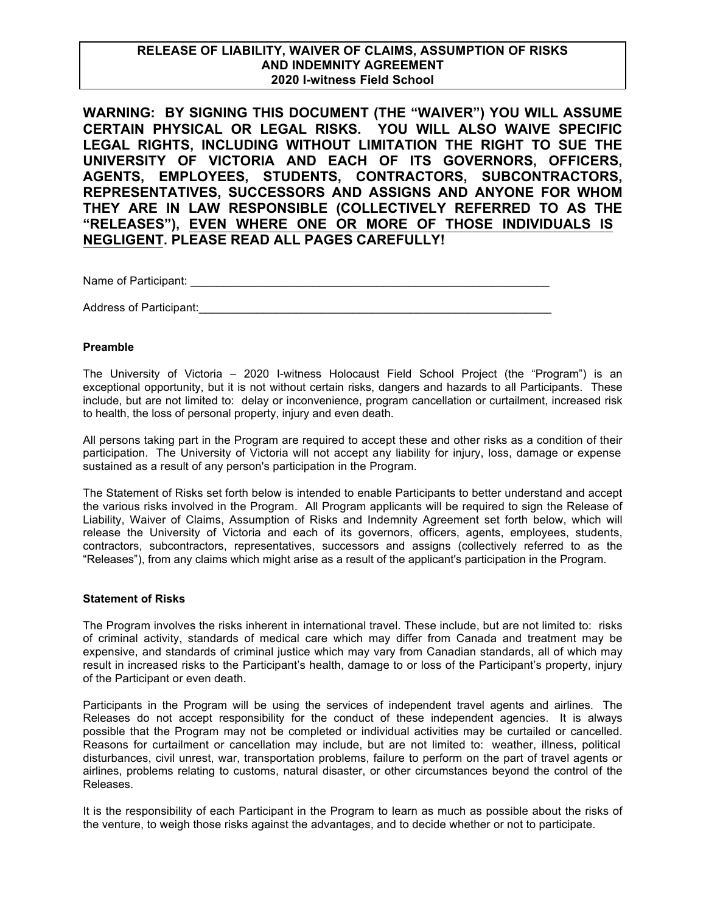# **RELEASE OF LIABILITY, WAIVER OF CLAIMS, ASSUMPTION OF RISKS AND INDEMNITY AGREEMENT 2020 I-witness Field School**

**WARNING: BY SIGNING THIS DOCUMENT (THE "WAIVER") YOU WILL ASSUME CERTAIN PHYSICAL OR LEGAL RISKS. YOU WILL ALSO WAIVE SPECIFIC LEGAL RIGHTS, INCLUDING WITHOUT LIMITATION THE RIGHT TO SUE THE UNIVERSITY OF VICTORIA AND EACH OF ITS GOVERNORS, OFFICERS, AGENTS, EMPLOYEES, STUDENTS, CONTRACTORS, SUBCONTRACTORS, REPRESENTATIVES, SUCCESSORS AND ASSIGNS AND ANYONE FOR WHOM THEY ARE IN LAW RESPONSIBLE (COLLECTIVELY REFERRED TO AS THE "RELEASES"), EVEN WHERE ONE OR MORE OF THOSE INDIVIDUALS IS NEGLIGENT. PLEASE READ ALL PAGES CAREFULLY!** 

Name of Participant:  $\blacksquare$ 

Address of Participant:\_\_\_\_\_\_\_\_\_\_\_\_\_\_\_\_\_\_\_\_\_\_\_\_\_\_\_\_\_\_\_\_\_\_\_\_\_\_\_\_\_\_\_\_\_\_\_\_\_\_\_\_\_\_\_

#### **Preamble**

The University of Victoria – 2020 I-witness Holocaust Field School Project (the "Program") is an exceptional opportunity, but it is not without certain risks, dangers and hazards to all Participants. These include, but are not limited to: delay or inconvenience, program cancellation or curtailment, increased risk to health, the loss of personal property, injury and even death.

All persons taking part in the Program are required to accept these and other risks as a condition of their participation. The University of Victoria will not accept any liability for injury, loss, damage or expense sustained as a result of any person's participation in the Program.

The Statement of Risks set forth below is intended to enable Participants to better understand and accept the various risks involved in the Program. All Program applicants will be required to sign the Release of Liability, Waiver of Claims, Assumption of Risks and Indemnity Agreement set forth below, which will release the University of Victoria and each of its governors, officers, agents, employees, students, contractors, subcontractors, representatives, successors and assigns (collectively referred to as the "Releases"), from any claims which might arise as a result of the applicant's participation in the Program.

#### **Statement of Risks**

The Program involves the risks inherent in international travel. These include, but are not limited to: risks of criminal activity, standards of medical care which may differ from Canada and treatment may be expensive, and standards of criminal justice which may vary from Canadian standards, all of which may result in increased risks to the Participant's health, damage to or loss of the Participant's property, injury of the Participant or even death.

Participants in the Program will be using the services of independent travel agents and airlines. The Releases do not accept responsibility for the conduct of these independent agencies. It is always possible that the Program may not be completed or individual activities may be curtailed or cancelled. Reasons for curtailment or cancellation may include, but are not limited to: weather, illness, political disturbances, civil unrest, war, transportation problems, failure to perform on the part of travel agents or airlines, problems relating to customs, natural disaster, or other circumstances beyond the control of the Releases.

It is the responsibility of each Participant in the Program to learn as much as possible about the risks of the venture, to weigh those risks against the advantages, and to decide whether or not to participate.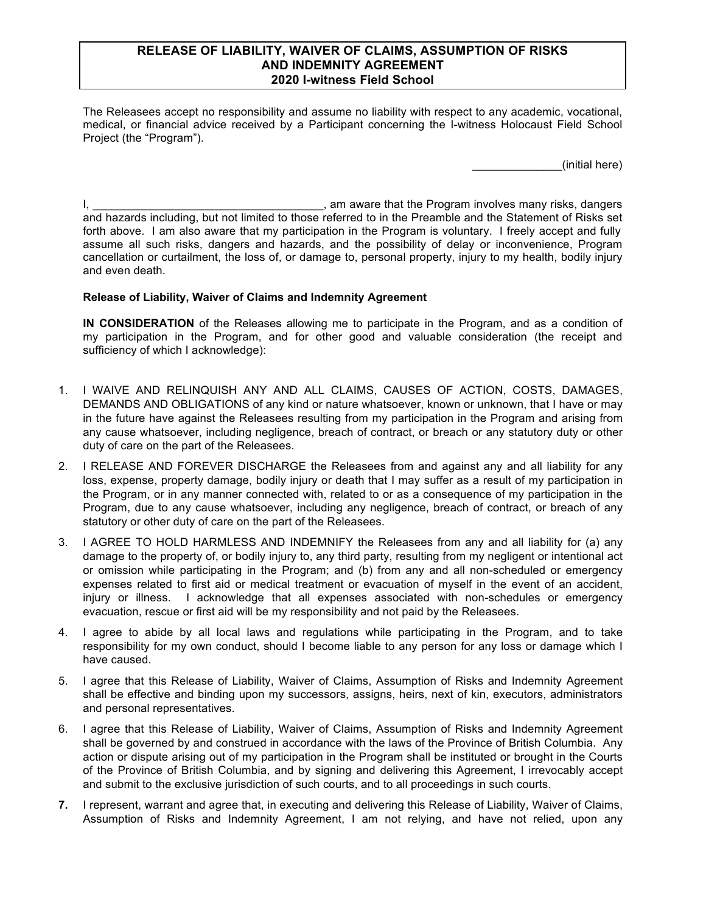## **RELEASE OF LIABILITY, WAIVER OF CLAIMS, ASSUMPTION OF RISKS AND INDEMNITY AGREEMENT 2020 I-witness Field School**

The Releasees accept no responsibility and assume no liability with respect to any academic, vocational, medical, or financial advice received by a Participant concerning the I-witness Holocaust Field School Project (the "Program").

\_\_\_\_\_\_\_\_\_\_\_\_\_\_(initial here)

I, \_\_\_\_\_\_\_\_\_\_\_\_\_\_\_\_\_\_\_\_\_\_\_\_\_\_\_\_\_\_\_\_\_\_\_\_, am aware that the Program involves many risks, dangers and hazards including, but not limited to those referred to in the Preamble and the Statement of Risks set forth above. I am also aware that my participation in the Program is voluntary. I freely accept and fully assume all such risks, dangers and hazards, and the possibility of delay or inconvenience, Program cancellation or curtailment, the loss of, or damage to, personal property, injury to my health, bodily injury and even death.

### **Release of Liability, Waiver of Claims and Indemnity Agreement**

**IN CONSIDERATION** of the Releases allowing me to participate in the Program, and as a condition of my participation in the Program, and for other good and valuable consideration (the receipt and sufficiency of which I acknowledge):

- 1. I WAIVE AND RELINQUISH ANY AND ALL CLAIMS, CAUSES OF ACTION, COSTS, DAMAGES, DEMANDS AND OBLIGATIONS of any kind or nature whatsoever, known or unknown, that I have or may in the future have against the Releasees resulting from my participation in the Program and arising from any cause whatsoever, including negligence, breach of contract, or breach or any statutory duty or other duty of care on the part of the Releasees.
- 2. I RELEASE AND FOREVER DISCHARGE the Releasees from and against any and all liability for any loss, expense, property damage, bodily injury or death that I may suffer as a result of my participation in the Program, or in any manner connected with, related to or as a consequence of my participation in the Program, due to any cause whatsoever, including any negligence, breach of contract, or breach of any statutory or other duty of care on the part of the Releasees.
- 3. I AGREE TO HOLD HARMLESS AND INDEMNIFY the Releasees from any and all liability for (a) any damage to the property of, or bodily injury to, any third party, resulting from my negligent or intentional act or omission while participating in the Program; and (b) from any and all non-scheduled or emergency expenses related to first aid or medical treatment or evacuation of myself in the event of an accident, injury or illness. I acknowledge that all expenses associated with non-schedules or emergency evacuation, rescue or first aid will be my responsibility and not paid by the Releasees.
- 4. I agree to abide by all local laws and regulations while participating in the Program, and to take responsibility for my own conduct, should I become liable to any person for any loss or damage which I have caused.
- 5. I agree that this Release of Liability, Waiver of Claims, Assumption of Risks and Indemnity Agreement shall be effective and binding upon my successors, assigns, heirs, next of kin, executors, administrators and personal representatives.
- 6. I agree that this Release of Liability, Waiver of Claims, Assumption of Risks and Indemnity Agreement shall be governed by and construed in accordance with the laws of the Province of British Columbia. Any action or dispute arising out of my participation in the Program shall be instituted or brought in the Courts of the Province of British Columbia, and by signing and delivering this Agreement, I irrevocably accept and submit to the exclusive jurisdiction of such courts, and to all proceedings in such courts.
- **7.** I represent, warrant and agree that, in executing and delivering this Release of Liability, Waiver of Claims, Assumption of Risks and Indemnity Agreement, I am not relying, and have not relied, upon any